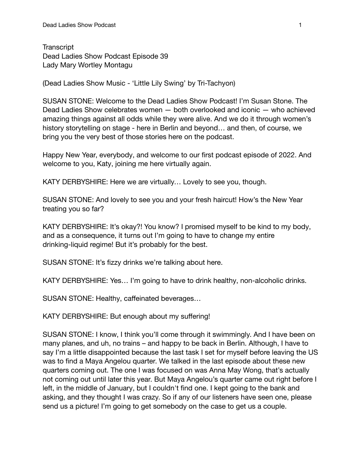**Transcript** Dead Ladies Show Podcast Episode 39 Lady Mary Wortley Montagu

(Dead Ladies Show Music - 'Little Lily Swing' by Tri-Tachyon)

SUSAN STONE: Welcome to the Dead Ladies Show Podcast! I'm Susan Stone. The Dead Ladies Show celebrates women — both overlooked and iconic — who achieved amazing things against all odds while they were alive. And we do it through women's history storytelling on stage - here in Berlin and beyond… and then, of course, we bring you the very best of those stories here on the podcast.

Happy New Year, everybody, and welcome to our first podcast episode of 2022. And welcome to you, Katy, joining me here virtually again.

KATY DERBYSHIRE: Here we are virtually… Lovely to see you, though.

SUSAN STONE: And lovely to see you and your fresh haircut! How's the New Year treating you so far?

KATY DERBYSHIRE: It's okay?! You know? I promised myself to be kind to my body, and as a consequence, it turns out I'm going to have to change my entire drinking-liquid regime! But it's probably for the best.

SUSAN STONE: It's fizzy drinks we're talking about here.

KATY DERBYSHIRE: Yes… I'm going to have to drink healthy, non-alcoholic drinks.

SUSAN STONE: Healthy, caffeinated beverages…

KATY DERBYSHIRE: But enough about my suffering!

SUSAN STONE: I know, I think you'll come through it swimmingly. And I have been on many planes, and uh, no trains – and happy to be back in Berlin. Although, I have to say I'm a little disappointed because the last task I set for myself before leaving the US was to find a Maya Angelou quarter. We talked in the last episode about these new quarters coming out. The one I was focused on was Anna May Wong, that's actually not coming out until later this year. But Maya Angelou's quarter came out right before I left, in the middle of January, but I couldn't find one. I kept going to the bank and asking, and they thought I was crazy. So if any of our listeners have seen one, please send us a picture! I'm going to get somebody on the case to get us a couple.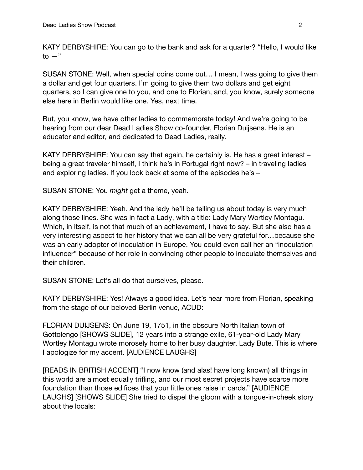KATY DERBYSHIRE: You can go to the bank and ask for a quarter? "Hello, I would like  $to -"$ 

SUSAN STONE: Well, when special coins come out… I mean, I was going to give them a dollar and get four quarters. I'm going to give them two dollars and get eight quarters, so I can give one to you, and one to Florian, and, you know, surely someone else here in Berlin would like one. Yes, next time.

But, you know, we have other ladies to commemorate today! And we're going to be hearing from our dear Dead Ladies Show co-founder, Florian Duijsens. He is an educator and editor, and dedicated to Dead Ladies, really.

KATY DERBYSHIRE: You can say that again, he certainly is. He has a great interest – being a great traveler himself, I think he's in Portugal right now? – in traveling ladies and exploring ladies. If you look back at some of the episodes he's –

SUSAN STONE: You *might* get a theme, yeah.

KATY DERBYSHIRE: Yeah. And the lady he'll be telling us about today is very much along those lines. She was in fact a Lady, with a title: Lady Mary Wortley Montagu. Which, in itself, is not that much of an achievement, I have to say. But she also has a very interesting aspect to her history that we can all be very grateful for…because she was an early adopter of inoculation in Europe. You could even call her an "inoculation influencer" because of her role in convincing other people to inoculate themselves and their children.

SUSAN STONE: Let's all do that ourselves, please.

KATY DERBYSHIRE: Yes! Always a good idea. Let's hear more from Florian, speaking from the stage of our beloved Berlin venue, ACUD:

FLORIAN DUIJSENS: On June 19, 1751, in the obscure North Italian town of Gottolengo [SHOWS SLIDE], 12 years into a strange exile, 61-year-old Lady Mary Wortley Montagu wrote morosely home to her busy daughter, Lady Bute. This is where I apologize for my accent. [AUDIENCE LAUGHS]

[READS IN BRITISH ACCENT] "I now know (and alas! have long known) all things in this world are almost equally trifling, and our most secret projects have scarce more foundation than those edifices that your little ones raise in cards." [AUDIENCE LAUGHS] [SHOWS SLIDE] She tried to dispel the gloom with a tongue-in-cheek story about the locals: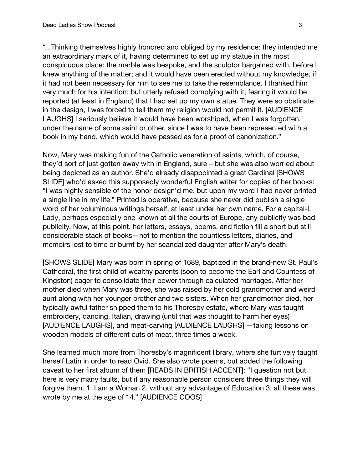"...Thinking themselves highly honored and obliged by my residence: they intended me an extraordinary mark of it, having determined to set up my statue in the most conspicuous place: the marble was bespoke, and the sculptor bargained with, before I knew anything of the matter; and it would have been erected without my knowledge, if it had not been necessary for him to see me to take the resemblance. I thanked him very much for his intention; but utterly refused complying with it, fearing it would be reported (at least in England) that I had set up my own statue. They were so obstinate in the design, I was forced to tell them my religion would not permit it. [AUDIENCE LAUGHS] I seriously believe it would have been worshiped, when I was forgotten, under the name of some saint or other, since I was to have been represented with a book in my hand, which would have passed as for a proof of canonization."

Now, Mary was making fun of the Catholic veneration of saints, which, of course, they'd sort of just gotten away with in England, sure – but she was also worried about being depicted as an author. She'd already disappointed a great Cardinal [SHOWS SLIDE] who'd asked this supposedly wonderful English writer for copies of her books: "I was highly sensible of the honor design'd me, but upon my word I had never printed a single line in my life." Printed is operative, because she never did publish a single word of her voluminous writings herself, at least under her own name. For a capital-L Lady, perhaps especially one known at all the courts of Europe, any publicity was bad publicity. Now, at this point, her letters, essays, poems, and fiction fill a short but still considerable stack of books—not to mention the countless letters, diaries, and memoirs lost to time or burnt by her scandalized daughter after Mary's death.

[SHOWS SLIDE] Mary was born in spring of 1689, baptized in the brand-new St. Paul's Cathedral, the first child of wealthy parents (soon to become the Earl and Countess of Kingston) eager to consolidate their power through calculated marriages. After her mother died when Mary was three, she was raised by her cold grandmother and weird aunt along with her younger brother and two sisters. When her grandmother died, her typically awful father shipped them to his Thoresby estate, where Mary was taught embroidery, dancing, Italian, drawing (until that was thought to harm her eyes) [AUDIENCE LAUGHS], and meat-carving [AUDIENCE LAUGHS] —taking lessons on wooden models of different cuts of meat, three times a week.

She learned much more from Thoresby's magnificent library, where she furtively taught herself Latin in order to read Ovid. She also wrote poems, but added the following caveat to her first album of them [READS IN BRITISH ACCENT]: "I question not but here is very many faults, but if any reasonable person considers three things they will forgive them. 1. I am a Woman 2. without any advantage of Education 3. all these was wrote by me at the age of 14." [AUDIENCE COOS]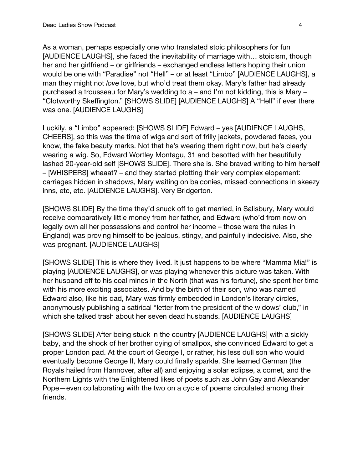As a woman, perhaps especially one who translated stoic philosophers for fun [AUDIENCE LAUGHS], she faced the inevitability of marriage with… stoicism, though her and her girlfriend – or girlfriends – exchanged endless letters hoping their union would be one with "Paradise" not "Hell" – or at least "Limbo" [AUDIENCE LAUGHS], a man they might not *love* love, but who'd treat them okay. Mary's father had already purchased a trousseau for Mary's wedding to a – and I'm not kidding, this is Mary – "Clotworthy Skeffington." [SHOWS SLIDE] [AUDIENCE LAUGHS] A "Hell" if ever there was one. [AUDIENCE LAUGHS]

Luckily, a "Limbo" appeared: [SHOWS SLIDE] Edward – yes [AUDIENCE LAUGHS, CHEERS], so this was the time of wigs and sort of frilly jackets, powdered faces, you know, the fake beauty marks. Not that he's wearing them right now, but he's clearly wearing a wig. So, Edward Wortley Montagu, 31 and besotted with her beautifully lashed 20-year-old self [SHOWS SLIDE]. There she is. She braved writing to him herself – [WHISPERS] whaaat? – and they started plotting their very complex elopement: carriages hidden in shadows, Mary waiting on balconies, missed connections in skeezy inns, etc, etc. [AUDIENCE LAUGHS]. Very Bridgerton.

[SHOWS SLIDE] By the time they'd snuck off to get married, in Salisbury, Mary would receive comparatively little money from her father, and Edward (who'd from now on legally own all her possessions and control her income – those were the rules in England) was proving himself to be jealous, stingy, and painfully indecisive. Also, she was pregnant. [AUDIENCE LAUGHS]

[SHOWS SLIDE] This is where they lived. It just happens to be where "Mamma Mia!" is playing [AUDIENCE LAUGHS], or was playing whenever this picture was taken. With her husband off to his coal mines in the North (that was his fortune), she spent her time with his more exciting associates. And by the birth of their son, who was named Edward also, like his dad, Mary was firmly embedded in London's literary circles, anonymously publishing a satirical "letter from the president of the widows' club," in which she talked trash about her seven dead husbands. [AUDIENCE LAUGHS]

[SHOWS SLIDE] After being stuck in the country [AUDIENCE LAUGHS] with a sickly baby, and the shock of her brother dying of smallpox, she convinced Edward to get a proper London pad. At the court of George I, or rather, his less dull son who would eventually become George II, Mary could finally sparkle. She learned German (the Royals hailed from Hannover, after all) and enjoying a solar eclipse, a comet, and the Northern Lights with the Enlightened likes of poets such as John Gay and Alexander Pope—even collaborating with the two on a cycle of poems circulated among their friends.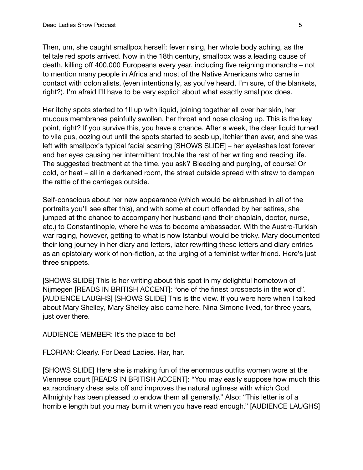Then, um, she caught smallpox herself: fever rising, her whole body aching, as the telltale red spots arrived. Now in the 18th century, smallpox was a leading cause of death, killing off 400,000 Europeans every year, including five reigning monarchs – not to mention many people in Africa and most of the Native Americans who came in contact with colonialists, (even intentionally, as you've heard, I'm sure, of the blankets, right?). I'm afraid I'll have to be very explicit about what exactly smallpox does.

Her itchy spots started to fill up with liquid, joining together all over her skin, her mucous membranes painfully swollen, her throat and nose closing up. This is the key point, right? If you survive this, you have a chance. After a week, the clear liquid turned to vile pus, oozing out until the spots started to scab up, itchier than ever, and she was left with smallpox's typical facial scarring [SHOWS SLIDE] – her eyelashes lost forever and her eyes causing her intermittent trouble the rest of her writing and reading life. The suggested treatment at the time, you ask? Bleeding and purging, of course! Or cold, or heat – all in a darkened room, the street outside spread with straw to dampen the rattle of the carriages outside.

Self-conscious about her new appearance (which would be airbrushed in all of the portraits you'll see after this), and with some at court offended by her satires, she jumped at the chance to accompany her husband (and their chaplain, doctor, nurse, etc.) to Constantinople, where he was to become ambassador. With the Austro-Turkish war raging, however, getting to what is now Istanbul would be tricky. Mary documented their long journey in her diary and letters, later rewriting these letters and diary entries as an epistolary work of non-fiction, at the urging of a feminist writer friend. Here's just three snippets.

[SHOWS SLIDE] This is her writing about this spot in my delightful hometown of Nijmegen [READS IN BRITISH ACCENT]: "one of the finest prospects in the world". [AUDIENCE LAUGHS] [SHOWS SLIDE] This is the view. If you were here when I talked about Mary Shelley, Mary Shelley also came here. Nina Simone lived, for three years, just over there.

AUDIENCE MEMBER: It's the place to be!

FLORIAN: Clearly. For Dead Ladies. Har, har.

[SHOWS SLIDE] Here she is making fun of the enormous outfits women wore at the Viennese court [READS IN BRITISH ACCENT]: "You may easily suppose how much this extraordinary dress sets off and improves the natural ugliness with which God Allmighty has been pleased to endow them all generally." Also: "This letter is of a horrible length but you may burn it when you have read enough." [AUDIENCE LAUGHS]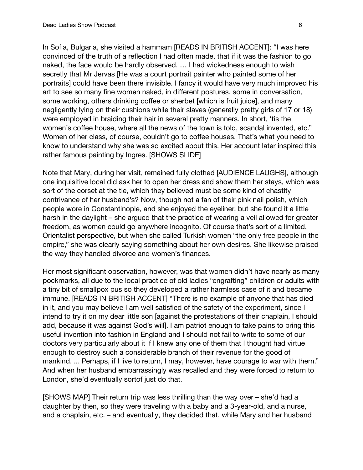In Sofia, Bulgaria, she visited a hammam [READS IN BRITISH ACCENT]: "I was here convinced of the truth of a reflection I had often made, that if it was the fashion to go naked, the face would be hardly observed. … I had wickedness enough to wish secretly that Mr Jervas [He was a court portrait painter who painted some of her portraits] could have been there invisible. I fancy it would have very much improved his art to see so many fine women naked, in different postures, some in conversation, some working, others drinking coffee or sherbet [which is fruit juice], and many negligently lying on their cushions while their slaves (generally pretty girls of 17 or 18) were employed in braiding their hair in several pretty manners. In short, 'tis the women's coffee house, where all the news of the town is told, scandal invented, etc." Women of her class, of course, couldn't go to coffee houses. That's what you need to know to understand why she was so excited about this. Her account later inspired this rather famous painting by Ingres. [SHOWS SLIDE]

Note that Mary, during her visit, remained fully clothed [AUDIENCE LAUGHS], although one inquisitive local did ask her to open her dress and show them her stays, which was sort of the corset at the tie, which they believed must be some kind of chastity contrivance of her husband's? Now, though not a fan of their pink nail polish, which people wore in Constantinople, and she enjoyed the eyeliner, but she found it a little harsh in the daylight – she argued that the practice of wearing a veil allowed for greater freedom, as women could go anywhere incognito. Of course that's sort of a limited, Orientalist perspective, but when she called Turkish women "the only free people in the empire," she was clearly saying something about her own desires. She likewise praised the way they handled divorce and women's finances.

Her most significant observation, however, was that women didn't have nearly as many pockmarks, all due to the local practice of old ladies "engrafting" children or adults with a tiny bit of smallpox pus so they developed a rather harmless case of it and became immune. [READS IN BRITISH ACCENT] "There is no example of anyone that has died in it, and you may believe I am well satisfied of the safety of the experiment, since I intend to try it on my dear little son [against the protestations of their chaplain, I should add, because it was against God's will]. I am patriot enough to take pains to bring this useful invention into fashion in England and I should not fail to write to some of our doctors very particularly about it if I knew any one of them that I thought had virtue enough to destroy such a considerable branch of their revenue for the good of mankind. ... Perhaps, if I live to return, I may, however, have courage to war with them." And when her husband embarrassingly was recalled and they were forced to return to London, she'd eventually sortof just do that.

[SHOWS MAP] Their return trip was less thrilling than the way over – she'd had a daughter by then, so they were traveling with a baby and a 3-year-old, and a nurse, and a chaplain, etc. – and eventually, they decided that, while Mary and her husband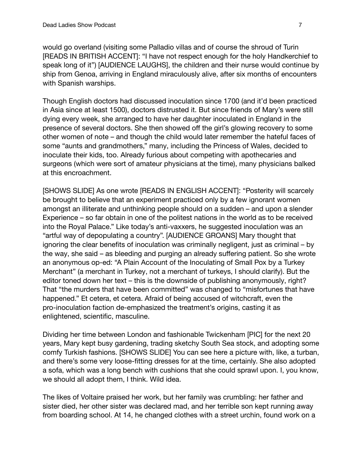would go overland (visiting some Palladio villas and of course the shroud of Turin [READS IN BRITISH ACCENT]: "I have not respect enough for the holy Handkerchief to speak long of it") [AUDIENCE LAUGHS], the children and their nurse would continue by ship from Genoa, arriving in England miraculously alive, after six months of encounters with Spanish warships.

Though English doctors had discussed inoculation since 1700 (and it'd been practiced in Asia since at least 1500), doctors distrusted it. But since friends of Mary's were still dying every week, she arranged to have her daughter inoculated in England in the presence of several doctors. She then showed off the girl's glowing recovery to some other women of note – and though the child would later remember the hateful faces of some "aunts and grandmothers," many, including the Princess of Wales, decided to inoculate their kids, too. Already furious about competing with apothecaries and surgeons (which were sort of amateur physicians at the time), many physicians balked at this encroachment.

[SHOWS SLIDE] As one wrote [READS IN ENGLISH ACCENT]: "Posterity will scarcely be brought to believe that an experiment practiced only by a few ignorant women amongst an illiterate and unthinking people should on a sudden – and upon a slender Experience – so far obtain in one of the politest nations in the world as to be received into the Royal Palace." Like today's anti-vaxxers, he suggested inoculation was an "artful way of depopulating a country". [AUDIENCE GROANS] Mary thought that ignoring the clear benefits of inoculation was criminally negligent, just as criminal – by the way, she said – as bleeding and purging an already suffering patient. So she wrote an anonymous op-ed: "A Plain Account of the Inoculating of Small Pox by a Turkey Merchant" (a merchant in Turkey, not a merchant of turkeys, I should clarify). But the editor toned down her text – this is the downside of publishing anonymously, right? That "the murders that have been committed" was changed to "misfortunes that have happened." Et cetera, et cetera. Afraid of being accused of witchcraft, even the pro-inoculation faction de-emphasized the treatment's origins, casting it as enlightened, scientific, masculine.

Dividing her time between London and fashionable Twickenham [PIC] for the next 20 years, Mary kept busy gardening, trading sketchy South Sea stock, and adopting some comfy Turkish fashions. [SHOWS SLIDE] You can see here a picture with, like, a turban, and there's some very loose-fitting dresses for at the time, certainly. She also adopted a sofa, which was a long bench with cushions that she could sprawl upon. I, you know, we should all adopt them, I think. Wild idea.

The likes of Voltaire praised her work, but her family was crumbling: her father and sister died, her other sister was declared mad, and her terrible son kept running away from boarding school. At 14, he changed clothes with a street urchin, found work on a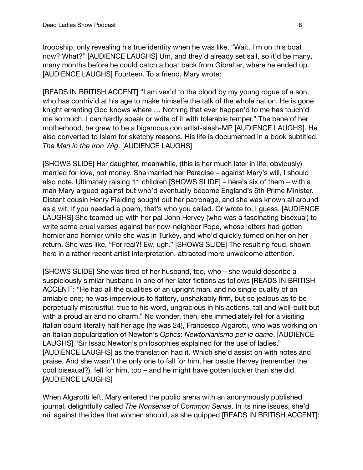troopship, only revealing his true identity when he was like, "Wait, I'm on this boat now? What?" [AUDIENCE LAUGHS] Um, and they'd already set sail, so it'd be many, many months before he could catch a boat back from Gibraltar, where he ended up. [AUDIENCE LAUGHS] Fourteen. To a friend, Mary wrote:

[READS IN BRITISH ACCENT] "I am vex'd to the blood by my young rogue of a son, who has contriv'd at his age to make himselfe the talk of the whole nation. He is gone knight erranting God knows where … Nothing that ever happen'd to me has touch'd me so much. I can hardly speak or write of it with tolerable temper." The bane of her motherhood, he grew to be a bigamous con artist-slash-MP [AUDIENCE LAUGHS]. He also converted to Islam for sketchy reasons. His life is documented in a book subtitled, *The Man in the Iron Wig*. [AUDIENCE LAUGHS]

[SHOWS SLIDE] Her daughter, meanwhile, (this is her much later in life, obviously) married for love, not money. She married her Paradise – against Mary's will, I should also note. Ultimately raising 11 children [SHOWS SLIDE] – here's six of them – with a man Mary argued against but who'd eventually become England's 6th Prime Minister. Distant cousin Henry Fielding sought out her patronage, and she was known all around as a wit. If you needed a poem, that's who you called. Or wrote to, I guess. [AUDIENCE LAUGHS] She teamed up with her pal John Hervey (who was a fascinating bisexual) to write some cruel verses against her now-neighbor Pope, whose letters had gotten hornier and hornier while she was in Turkey, and who'd quickly turned on her on her return. She was like, "For real?! Ew, ugh." [SHOWS SLIDE] The resulting feud, shown here in a rather recent artist interpretation, attracted more unwelcome attention.

[SHOWS SLIDE] She was tired of her husband, too, who – she would describe a suspiciously similar husband in one of her later fictions as follows [READS IN BRITISH ACCENT]: "He had all the qualities of an upright man, and no single quality of an amiable one; he was impervious to flattery, unshakably firm, but so jealous as to be perpetually mistrustful, true to his word, ungracious in his actions, tall and well-built but with a proud air and no charm." No wonder, then, she immediately fell for a visiting Italian count literally half her age (he was 24), Francesco Algarotti, who was working on an Italian popularization of Newton's *Optics*: *Newtonianismo per le dame*. [AUDIENCE LAUGHS] "Sir Issac Newton's philosophies explained for the use of ladies," [AUDIENCE LAUGHS] as the translation had it. Which she'd assist on with notes and praise. And she wasn't the only one to fall for him, her bestie Hervey (remember the cool bisexual?), fell for him, too – and he might have gotten luckier than she did. [AUDIENCE LAUGHS]

When Algarotti left, Mary entered the public arena with an anonymously published journal, delightfully called *The Nonsense of Common Sense*. In its nine issues, she'd rail against the idea that women should, as she quipped [READS IN BRITISH ACCENT]: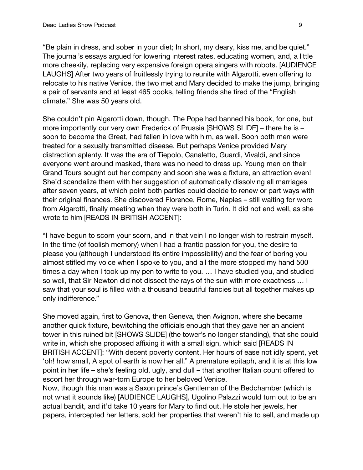"Be plain in dress, and sober in your diet; In short, my deary, kiss me, and be quiet." The journal's essays argued for lowering interest rates, educating women, and, a little more cheekily, replacing very expensive foreign opera singers with robots. [AUDIENCE LAUGHS] After two years of fruitlessly trying to reunite with Algarotti, even offering to relocate to his native Venice, the two met and Mary decided to make the jump, bringing a pair of servants and at least 465 books, telling friends she tired of the "English climate." She was 50 years old.

She couldn't pin Algarotti down, though. The Pope had banned his book, for one, but more importantly our very own Frederick of Prussia [SHOWS SLIDE] – there he is – soon to become the Great, had fallen in love with him, as well. Soon both men were treated for a sexually transmitted disease. But perhaps Venice provided Mary distraction aplenty. It was the era of Tiepolo, Canaletto, Guardi, Vivaldi, and since everyone went around masked, there was no need to dress up. Young men on their Grand Tours sought out her company and soon she was a fixture, an attraction even! She'd scandalize them with her suggestion of automatically dissolving all marriages after seven years, at which point both parties could decide to renew or part ways with their original finances. She discovered Florence, Rome, Naples – still waiting for word from Algarotti, finally meeting when they were both in Turin. It did not end well, as she wrote to him [READS IN BRITISH ACCENT]:

"I have begun to scorn your scorn, and in that vein I no longer wish to restrain myself. In the time (of foolish memory) when I had a frantic passion for you, the desire to please you (although I understood its entire impossibility) and the fear of boring you almost stifled my voice when I spoke to you, and all the more stopped my hand 500 times a day when I took up my pen to write to you. … I have studied you, and studied so well, that Sir Newton did not dissect the rays of the sun with more exactness … I saw that your soul is filled with a thousand beautiful fancies but all together makes up only indifference."

She moved again, first to Genova, then Geneva, then Avignon, where she became another quick fixture, bewitching the officials enough that they gave her an ancient tower in this ruined bit [SHOWS SLIDE] (the tower's no longer standing), that she could write in, which she proposed affixing it with a small sign, which said [READS IN BRITISH ACCENT]: "With decent poverty content, Her hours of ease not idly spent, yet 'oh! how small, A spot of earth is now her all." A premature epitaph, and it is at this low point in her life – she's feeling old, ugly, and dull – that another Italian count offered to escort her through war-torn Europe to her beloved Venice.

Now, though this man was a Saxon prince's Gentleman of the Bedchamber (which is not what it sounds like) [AUDIENCE LAUGHS], Ugolino Palazzi would turn out to be an actual bandit, and it'd take 10 years for Mary to find out. He stole her jewels, her papers, intercepted her letters, sold her properties that weren't his to sell, and made up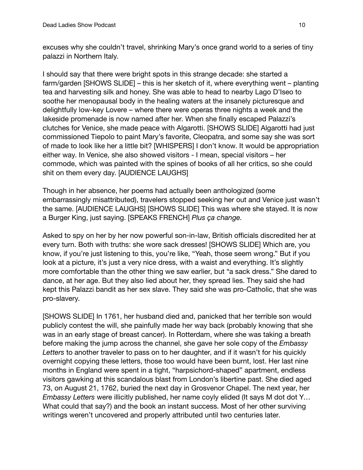excuses why she couldn't travel, shrinking Mary's once grand world to a series of tiny palazzi in Northern Italy.

I should say that there were bright spots in this strange decade: she started a farm/garden [SHOWS SLIDE] – this is her sketch of it, where everything went – planting tea and harvesting silk and honey. She was able to head to nearby Lago D'Iseo to soothe her menopausal body in the healing waters at the insanely picturesque and delightfully low-key Lovere – where there were operas three nights a week and the lakeside promenade is now named after her. When she finally escaped Palazzi's clutches for Venice, she made peace with Algarotti. [SHOWS SLIDE] Algarotti had just commissioned Tiepolo to paint Mary's favorite, Cleopatra, and some say she was sort of made to look like her a little bit? [WHISPERS] I don't know. It would be appropriation either way. In Venice, she also showed visitors - I mean, special visitors – her commode, which was painted with the spines of books of all her critics, so she could shit on them every day. [AUDIENCE LAUGHS]

Though in her absence, her poems had actually been anthologized (some embarrassingly misattributed), travelers stopped seeking her out and Venice just wasn't the same. [AUDIENCE LAUGHS] [SHOWS SLIDE] This was where she stayed. It is now a Burger King, just saying. [SPEAKS FRENCH] *Plus ça change.*

Asked to spy on her by her now powerful son-in-law, British officials discredited her at every turn. Both with truths: she wore sack dresses! [SHOWS SLIDE] Which are, you know, if you're just listening to this, you're like, "Yeah, those seem wrong." But if you look at a picture, it's just a very nice dress, with a waist and everything. It's slightly more comfortable than the other thing we saw earlier, but "a sack dress." She dared to dance, at her age. But they also lied about her, they spread lies. They said she had kept this Palazzi bandit as her sex slave. They said she was pro-Catholic, that she was pro-slavery.

[SHOWS SLIDE] In 1761, her husband died and, panicked that her terrible son would publicly contest the will, she painfully made her way back (probably knowing that she was in an early stage of breast cancer). In Rotterdam, where she was taking a breath before making the jump across the channel, she gave her sole copy of the *Embassy Letters* to another traveler to pass on to her daughter, and if it wasn't for his quickly overnight copying these letters, those too would have been burnt, lost. Her last nine months in England were spent in a tight, "harpsichord-shaped" apartment, endless visitors gawking at this scandalous blast from London's libertine past. She died aged 73, on August 21, 1762, buried the next day in Grosvenor Chapel. The next year, her *Embassy Letters* were illicitly published, her name coyly elided (It says M dot dot Y… What could that say?) and the book an instant success. Most of her other surviving writings weren't uncovered and properly attributed until two centuries later.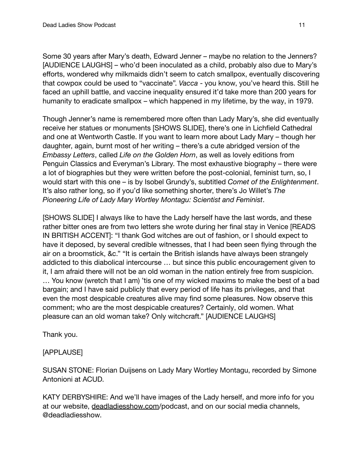Some 30 years after Mary's death, Edward Jenner – maybe no relation to the Jenners? [AUDIENCE LAUGHS] – who'd been inoculated as a child, probably also due to Mary's efforts, wondered why milkmaids didn't seem to catch smallpox, eventually discovering that cowpox could be used to "vaccinate". *Vacca* - you know, you've heard this. Still he faced an uphill battle, and vaccine inequality ensured it'd take more than 200 years for humanity to eradicate smallpox – which happened in my lifetime, by the way, in 1979.

Though Jenner's name is remembered more often than Lady Mary's, she did eventually receive her statues or monuments [SHOWS SLIDE], there's one in Lichfield Cathedral and one at Wentworth Castle. If you want to learn more about Lady Mary – though her daughter, again, burnt most of her writing – there's a cute abridged version of the *Embassy Letters*, called *Life on the Golden Horn*, as well as lovely editions from Penguin Classics and Everyman's Library. The most exhaustive biography – there were a lot of biographies but they were written before the post-colonial, feminist turn, so, I would start with this one – is by Isobel Grundy's, subtitled *Comet of the Enlightenment*. It's also rather long, so if you'd like something shorter, there's Jo Willet's *The Pioneering Life of Lady Mary Wortley Montagu: Scientist and Feminist*.

[SHOWS SLIDE] I always like to have the Lady herself have the last words, and these rather bitter ones are from two letters she wrote during her final stay in Venice [READS IN BRITISH ACCENT]: "I thank God witches are out of fashion, or I should expect to have it deposed, by several credible witnesses, that I had been seen flying through the air on a broomstick, &c." "It is certain the British islands have always been strangely addicted to this diabolical intercourse … but since this public encouragement given to it, I am afraid there will not be an old woman in the nation entirely free from suspicion. … You know (wretch that I am) 'tis one of my wicked maxims to make the best of a bad bargain; and I have said publicly that every period of life has its privileges, and that even the most despicable creatures alive may find some pleasures. Now observe this comment; who are the most despicable creatures? Certainly, old women. What pleasure can an old woman take? Only witchcraft." [AUDIENCE LAUGHS]

Thank you.

[APPLAUSE]

SUSAN STONE: Florian Duijsens on Lady Mary Wortley Montagu, recorded by Simone Antonioni at ACUD.

KATY DERBYSHIRE: And we'll have images of the Lady herself, and more info for you at our website, [deadladiesshow.com](http://deadladiesshow.com)/podcast, and on our social media channels, @deadladiesshow.